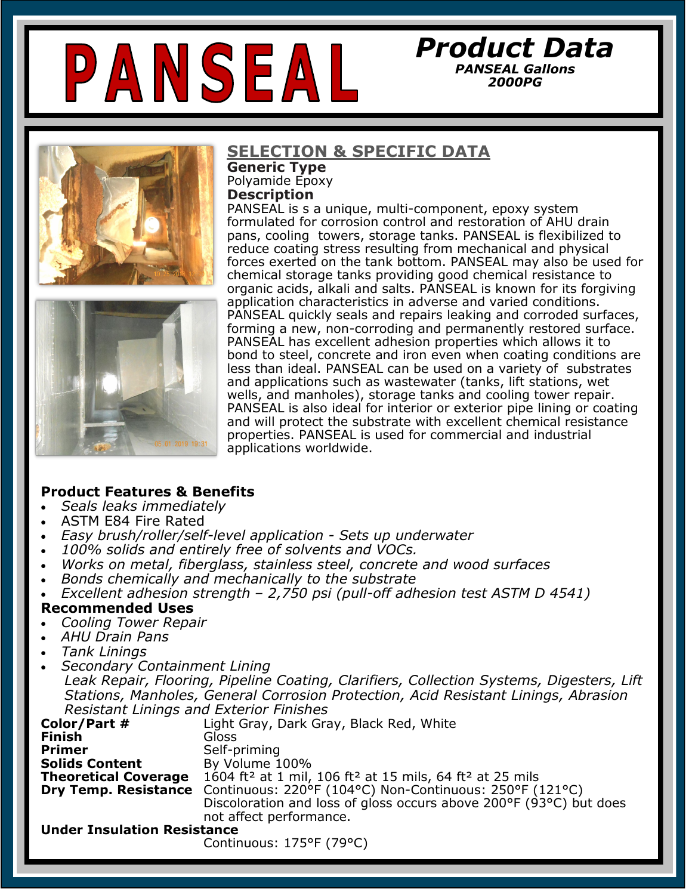# PANSEAL



# **SELECTION & SPECIFIC DATA**

**Generic Type**  Polyamide Epoxy **Description**

PANSEAL is s a unique, multi-component, epoxy system formulated for corrosion control and restoration of AHU drain pans, cooling towers, storage tanks. PANSEAL is flexibilized to reduce coating stress resulting from mechanical and physical forces exerted on the tank bottom. PANSEAL may also be used for chemical storage tanks providing good chemical resistance to organic acids, alkali and salts. PANSEAL is known for its forgiving application characteristics in adverse and varied conditions. PANSEAL quickly seals and repairs leaking and corroded surfaces, forming a new, non-corroding and permanently restored surface. PANSEAL has excellent adhesion properties which allows it to bond to steel, concrete and iron even when coating conditions are less than ideal. PANSEAL can be used on a variety of substrates and applications such as wastewater (tanks, lift stations, wet wells, and manholes), storage tanks and cooling tower repair. PANSEAL is also ideal for interior or exterior pipe lining or coating and will protect the substrate with excellent chemical resistance properties. PANSEAL is used for commercial and industrial applications worldwide.

*Product Data PANSEAL Gallons 2000PG*

## **Product Features & Benefits**

- *Seals leaks immediately*
- ASTM E84 Fire Rated
- *Easy brush/roller/self-level application - Sets up underwater*
- *100% solids and entirely free of solvents and VOCs.*
- *Works on metal, fiberglass, stainless steel, concrete and wood surfaces*
- *Bonds chemically and mechanically to the substrate*
- *Excellent adhesion strength – 2,750 psi (pull-off adhesion test ASTM D 4541)*

#### **Recommended Uses**

- *Cooling Tower Repair*
- *AHU Drain Pans*
- *Tank Linings*
- *Secondary Containment Lining*

 *Leak Repair, Flooring, Pipeline Coating, Clarifiers, Collection Systems, Digesters, Lift Stations, Manholes, General Corrosion Protection, Acid Resistant Linings, Abrasion Resistant Linings and Exterior Finishes* 

| Color/Part #                       | Light Gray, Dark Gray, Black Red, White                                                      |  |  |  |
|------------------------------------|----------------------------------------------------------------------------------------------|--|--|--|
| <b>Finish</b>                      | Gloss                                                                                        |  |  |  |
| <b>Primer</b>                      | Self-priming                                                                                 |  |  |  |
| <b>Solids Content</b>              | By Volume 100%                                                                               |  |  |  |
| <b>Theoretical Coverage</b>        | 1604 ft <sup>2</sup> at 1 mil, 106 ft <sup>2</sup> at 15 mils, 64 ft <sup>2</sup> at 25 mils |  |  |  |
|                                    | <b>Dry Temp. Resistance</b> Continuous: 220°F (104°C) Non-Continuous: 250°F (121°C)          |  |  |  |
|                                    | Discoloration and loss of gloss occurs above 200°F (93°C) but does                           |  |  |  |
|                                    | not affect performance.                                                                      |  |  |  |
| <b>Under Insulation Resistance</b> |                                                                                              |  |  |  |
|                                    | Continuous: 175°F (79°C)                                                                     |  |  |  |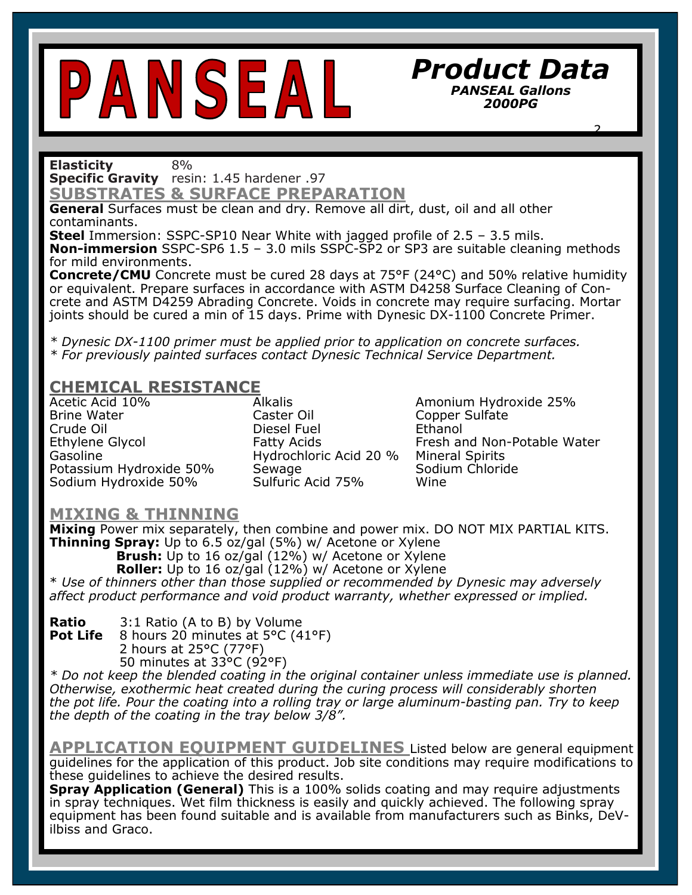# PANSEAL

### *Product Data PANSEAL Gallons 2000PG*

 *2.*

**Elasticity** 8%

**Specific Gravity** resin: 1.45 hardener .97

**SUBSTRATES & SURFACE PREPARATION** 

**General** Surfaces must be clean and dry. Remove all dirt, dust, oil and all other contaminants.

**Steel** Immersion: SSPC-SP10 Near White with jagged profile of 2.5 – 3.5 mils. **Non-immersion** SSPC-SP6 1.5 – 3.0 mils SSPC-SP2 or SP3 are suitable cleaning methods for mild environments.

**Concrete/CMU** Concrete must be cured 28 days at 75°F (24°C) and 50% relative humidity or equivalent. Prepare surfaces in accordance with ASTM D4258 Surface Cleaning of Concrete and ASTM D4259 Abrading Concrete. Voids in concrete may require surfacing. Mortar joints should be cured a min of 15 days. Prime with Dynesic DX-1100 Concrete Primer.

*\* Dynesic DX-1100 primer must be applied prior to application on concrete surfaces. \* For previously painted surfaces contact Dynesic Technical Service Department.* 

## **CHEMICAL RESISTANCE**

Brine Water Caster Oil Copper Sulfate Gasoline **Hydrochloric Acid 20 %** Mineral Spirits<br>Potassium Hydroxide 50% Sewage **Sexustion** Sodium Chloride Potassium Hydroxide 50% Sewage Sodium Hydroxide 50% Sulfuric Acid 75% Wine

Diesel Fuel

Acetic Acid 10% **Alkalis** Alkalis **Amonium Hydroxide 25%** Ethylene Glycol **Fatty Acids** Fresh and Non-Potable Water

**CURE TIME** (at 70°F or 21°C)

#### **MIXING & THINNING**

**Thinning Spray:** Up to 6.5 oz/gal (5%) w/ Acetone or Xylene **Mixing** Power mix separately, then combine and power mix. DO NOT MIX PARTIAL KITS. **Brush:** Up to 16 oz/gal (12%) w/ Acetone or Xylene **Roller:** Up to 16 oz/gal (12%) w/ Acetone or Xylene \* *Use of thinners other than those supplied or recommended by Dynesic may adversely affect product performance and void product warranty, whether expressed or implied.* 

**Ratio** 3:1 Ratio (A to B) by Volume<br>**Pot Life** 8 hours 20 minutes at 5°C (4 **Pot Life** 8 hours 20 minutes at 5°C (41°F) 2 hours at 25°C (77°F) 50 minutes at 33°C (92°F)

*\* Do not keep the blended coating in the original container unless immediate use is planned. Otherwise, exothermic heat created during the curing process will considerably shorten the pot life. Pour the coating into a rolling tray or large aluminum-basting pan. Try to keep the depth of the coating in the tray below 3/8".* 

**APPLICATION EQUIPMENT GUIDELINES** Listed below are general equipment guidelines for the application of this product. Job site conditions may require modifications to these guidelines to achieve the desired results.

**Spray Application (General)** This is a 100% solids coating and may require adjustments in spray techniques. Wet film thickness is easily and quickly achieved. The following spray equipment has been found suitable and is available from manufacturers such as Binks, DeVilbiss and Graco.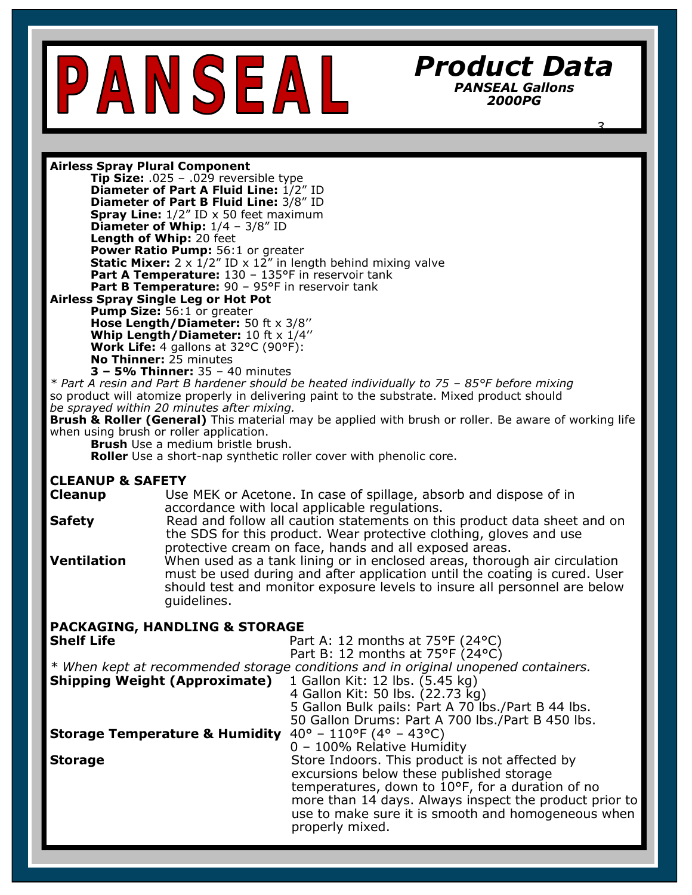

*Product Data PANSEAL Gallons 2000PG*

 *3.*

**Airless Spray Plural Component**

**Tip Size:** .025 – .029 reversible type **Diameter of Part A Fluid Line:** 1/2" ID **Diameter of Part B Fluid Line:** 3/8" ID **Spray Line:** 1/2" ID x 50 feet maximum **Diameter of Whip:** 1/4 – 3/8" ID **Length of Whip:** 20 feet **Power Ratio Pump:** 56:1 or greater **Static Mixer:** 2 x 1/2" ID x 12" in length behind mixing valve Part A Temperature: 130 - 135°F in reservoir tank Part B Temperature: 90 - 95°F in reservoir tank

**Airless Spray Single Leg or Hot Pot Pump Size:** 56:1 or greater

**Hose Length/Diameter:** 50 ft x 3/8'' **Whip Length/Diameter:** 10 ft x 1/4'' **Work Life:** 4 gallons at 32°C (90°F): **No Thinner:** 25 minutes **3 – 5% Thinner:** 35 – 40 minutes

*\* Part A resin and Part B hardener should be heated individually to 75 – 85°F before mixing*  so product will atomize properly in delivering paint to the substrate. Mixed product should *be sprayed within 20 minutes after mixing.* 

**Brush & Roller (General)** This material may be applied with brush or roller. Be aware of working life when using brush or roller application.

**Brush** Use a medium bristle brush.

**Roller** Use a short-nap synthetic roller cover with phenolic core.

#### **CLEANUP & SAFETY**

**Cleanup Lace USE MEK or Acetone. In case of spillage, absorb and dispose of in** accordance with local applicable regulations.

**Safety** Read and follow all caution statements on this product data sheet and on the SDS for this product. Wear protective clothing, gloves and use protective cream on face, hands and all exposed areas.

**Ventilation** When used as a tank lining or in enclosed areas, thorough air circulation must be used during and after application until the coating is cured. User should test and monitor exposure levels to insure all personnel are below guidelines.

| <b>PACKAGING, HANDLING &amp; STORAGE</b>                                           |
|------------------------------------------------------------------------------------|
| Part A: 12 months at $75^{\circ}F$ (24 $^{\circ}C$ )                               |
| Part B: 12 months at 75°F (24°C)                                                   |
| * When kept at recommended storage conditions and in original unopened containers. |
| 1 Gallon Kit: 12 lbs. (5.45 kg)                                                    |
| 4 Gallon Kit: 50 lbs. (22.73 kg)                                                   |
| 5 Gallon Bulk pails: Part A 70 lbs./Part B 44 lbs.                                 |
| 50 Gallon Drums: Part A 700 lbs./Part B 450 lbs.                                   |
| $40^{\circ}$ – 110°F (4° – 43°C)<br><b>Storage Temperature &amp; Humidity</b>      |
| 0 - 100% Relative Humidity                                                         |
| Store Indoors. This product is not affected by                                     |
| excursions below these published storage                                           |
| temperatures, down to 10°F, for a duration of no                                   |
| more than 14 days. Always inspect the product prior to                             |
| use to make sure it is smooth and homogeneous when                                 |
| properly mixed.                                                                    |
|                                                                                    |